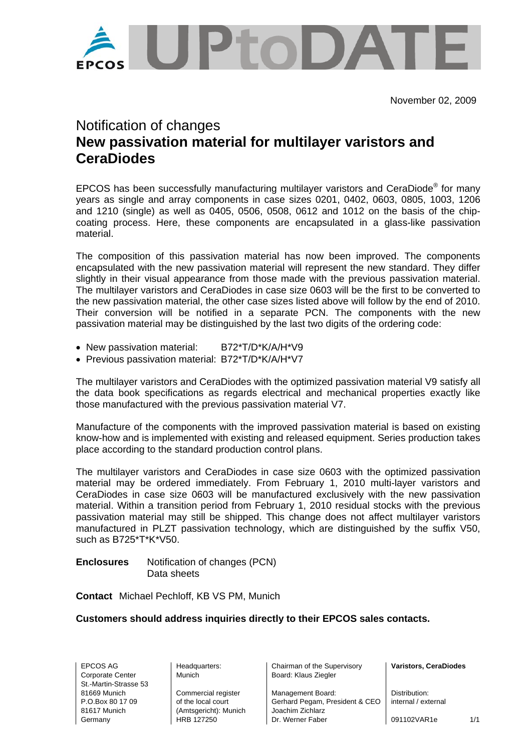

November 02, 2009

# Notification of changes **New passivation material for multilayer varistors and CeraDiodes**

EPCOS has been successfully manufacturing multilayer varistors and CeraDiode® for many years as single and array components in case sizes 0201, 0402, 0603, 0805, 1003, 1206 and 1210 (single) as well as 0405, 0506, 0508, 0612 and 1012 on the basis of the chipcoating process. Here, these components are encapsulated in a glass-like passivation material.

The composition of this passivation material has now been improved. The components encapsulated with the new passivation material will represent the new standard. They differ slightly in their visual appearance from those made with the previous passivation material. The multilayer varistors and CeraDiodes in case size 0603 will be the first to be converted to the new passivation material, the other case sizes listed above will follow by the end of 2010. Their conversion will be notified in a separate PCN. The components with the new passivation material may be distinguished by the last two digits of the ordering code:

- New passivation material: B72\*T/D\*K/A/H\*V9
- Previous passivation material: B72\*T/D\*K/A/H\*V7

The multilayer varistors and CeraDiodes with the optimized passivation material V9 satisfy all the data book specifications as regards electrical and mechanical properties exactly like those manufactured with the previous passivation material V7.

Manufacture of the components with the improved passivation material is based on existing know-how and is implemented with existing and released equipment. Series production takes place according to the standard production control plans.

The multilayer varistors and CeraDiodes in case size 0603 with the optimized passivation material may be ordered immediately. From February 1, 2010 multi-layer varistors and CeraDiodes in case size 0603 will be manufactured exclusively with the new passivation material. Within a transition period from February 1, 2010 residual stocks with the previous passivation material may still be shipped. This change does not affect multilayer varistors manufactured in PLZT passivation technology, which are distinguished by the suffix V50, such as B725\*T\*K\*V50.

**Enclosures** Notification of changes (PCN) Data sheets

**Contact** Michael Pechloff, KB VS PM, Munich

## **Customers should address inquiries directly to their EPCOS sales contacts.**

Corporate Center Munich Nunich Board: Klaus Ziegler St.-Martin-Strasse 53

81617 Munich (Amtsgericht): Munich Joachim Zichlarz

EPCOS AG Headquarters: Chairman of the Supervisory **Varistors, CeraDiodes** 

81669 Munich Commercial register Management Board: Distribution:<br>
P.O.Box 80.17.09 of the local court Gerhard Pegam, President & CFO internal / ext of the local court **CEO**  $\vert$  Gerhard Pegam, President & CEO  $\vert$  internal / external Germany **HRB 127250** Dr. Werner Faber 1091102VAR1e 1/1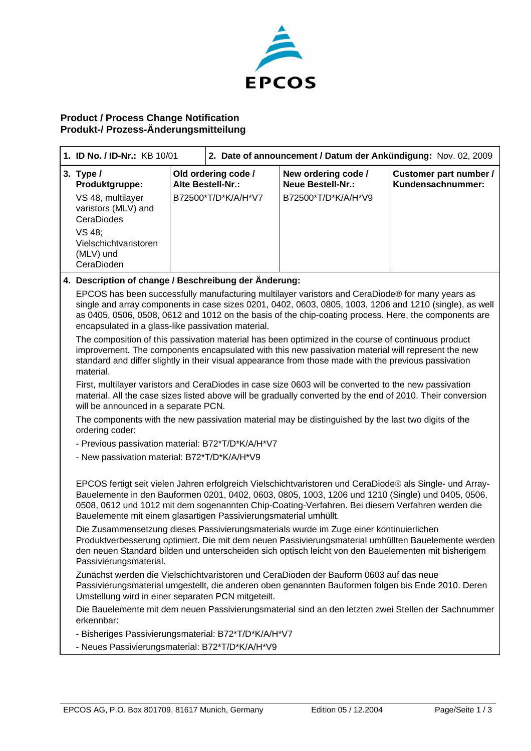

## **Product / Process Change Notification Produkt-/ Prozess-Änderungsmitteilung**

|  | 1. ID No. / ID-Nr.: KB 10/01                                                                                                                                                                                                                                                                                                                                                                                                                                                                                                                                                                                                                                                                                           |                                                                                                                                                                                                                                                                                                                                                           | 2. Date of announcement / Datum der Ankündigung: Nov. 02, 2009 |                                                                        |                                                    |  |  |  |  |
|--|------------------------------------------------------------------------------------------------------------------------------------------------------------------------------------------------------------------------------------------------------------------------------------------------------------------------------------------------------------------------------------------------------------------------------------------------------------------------------------------------------------------------------------------------------------------------------------------------------------------------------------------------------------------------------------------------------------------------|-----------------------------------------------------------------------------------------------------------------------------------------------------------------------------------------------------------------------------------------------------------------------------------------------------------------------------------------------------------|----------------------------------------------------------------|------------------------------------------------------------------------|----------------------------------------------------|--|--|--|--|
|  | 3. Type $/$<br>Produktgruppe:<br>VS 48, multilayer<br>varistors (MLV) and<br>CeraDiodes<br>VS 48;<br>Vielschichtvaristoren<br>(MLV) und<br>CeraDioden                                                                                                                                                                                                                                                                                                                                                                                                                                                                                                                                                                  | Alte Bestell-Nr.:                                                                                                                                                                                                                                                                                                                                         | Old ordering code /<br>B72500*T/D*K/A/H*V7                     | New ordering code /<br><b>Neue Bestell-Nr.:</b><br>B72500*T/D*K/A/H*V9 | <b>Customer part number /</b><br>Kundensachnummer: |  |  |  |  |
|  | 4. Description of change / Beschreibung der Änderung:                                                                                                                                                                                                                                                                                                                                                                                                                                                                                                                                                                                                                                                                  |                                                                                                                                                                                                                                                                                                                                                           |                                                                |                                                                        |                                                    |  |  |  |  |
|  | EPCOS has been successfully manufacturing multilayer varistors and CeraDiode® for many years as<br>single and array components in case sizes 0201, 0402, 0603, 0805, 1003, 1206 and 1210 (single), as well<br>as 0405, 0506, 0508, 0612 and 1012 on the basis of the chip-coating process. Here, the components are<br>encapsulated in a glass-like passivation material.<br>The composition of this passivation material has been optimized in the course of continuous product<br>improvement. The components encapsulated with this new passivation material will represent the new<br>standard and differ slightly in their visual appearance from those made with the previous passivation<br>material.           |                                                                                                                                                                                                                                                                                                                                                           |                                                                |                                                                        |                                                    |  |  |  |  |
|  | First, multilayer varistors and CeraDiodes in case size 0603 will be converted to the new passivation<br>material. All the case sizes listed above will be gradually converted by the end of 2010. Their conversion<br>will be announced in a separate PCN.<br>The components with the new passivation material may be distinguished by the last two digits of the<br>ordering coder:                                                                                                                                                                                                                                                                                                                                  |                                                                                                                                                                                                                                                                                                                                                           |                                                                |                                                                        |                                                    |  |  |  |  |
|  |                                                                                                                                                                                                                                                                                                                                                                                                                                                                                                                                                                                                                                                                                                                        |                                                                                                                                                                                                                                                                                                                                                           |                                                                |                                                                        |                                                    |  |  |  |  |
|  | - Previous passivation material: B72*T/D*K/A/H*V7                                                                                                                                                                                                                                                                                                                                                                                                                                                                                                                                                                                                                                                                      |                                                                                                                                                                                                                                                                                                                                                           |                                                                |                                                                        |                                                    |  |  |  |  |
|  | - New passivation material: B72*T/D*K/A/H*V9                                                                                                                                                                                                                                                                                                                                                                                                                                                                                                                                                                                                                                                                           |                                                                                                                                                                                                                                                                                                                                                           |                                                                |                                                                        |                                                    |  |  |  |  |
|  | EPCOS fertigt seit vielen Jahren erfolgreich Vielschichtvaristoren und CeraDiode® als Single- und Array-<br>Bauelemente in den Bauformen 0201, 0402, 0603, 0805, 1003, 1206 und 1210 (Single) und 0405, 0506,<br>0508, 0612 und 1012 mit dem sogenannten Chip-Coating-Verfahren. Bei diesem Verfahren werden die<br>Bauelemente mit einem glasartigen Passivierungsmaterial umhüllt.<br>Die Zusammensetzung dieses Passivierungsmaterials wurde im Zuge einer kontinuierlichen<br>Produktverbesserung optimiert. Die mit dem neuen Passivierungsmaterial umhüllten Bauelemente werden<br>den neuen Standard bilden und unterscheiden sich optisch leicht von den Bauelementen mit bisherigem<br>Passivierungsmaterial. |                                                                                                                                                                                                                                                                                                                                                           |                                                                |                                                                        |                                                    |  |  |  |  |
|  |                                                                                                                                                                                                                                                                                                                                                                                                                                                                                                                                                                                                                                                                                                                        |                                                                                                                                                                                                                                                                                                                                                           |                                                                |                                                                        |                                                    |  |  |  |  |
|  |                                                                                                                                                                                                                                                                                                                                                                                                                                                                                                                                                                                                                                                                                                                        | Zunächst werden die Vielschichtvaristoren und CeraDioden der Bauform 0603 auf das neue<br>Passivierungsmaterial umgestellt, die anderen oben genannten Bauformen folgen bis Ende 2010. Deren<br>Umstellung wird in einer separaten PCN mitgeteilt.<br>Die Bauelemente mit dem neuen Passivierungsmaterial sind an den letzten zwei Stellen der Sachnummer |                                                                |                                                                        |                                                    |  |  |  |  |
|  | erkennbar:                                                                                                                                                                                                                                                                                                                                                                                                                                                                                                                                                                                                                                                                                                             |                                                                                                                                                                                                                                                                                                                                                           |                                                                |                                                                        |                                                    |  |  |  |  |
|  | - Bisheriges Passivierungsmaterial: B72*T/D*K/A/H*V7                                                                                                                                                                                                                                                                                                                                                                                                                                                                                                                                                                                                                                                                   |                                                                                                                                                                                                                                                                                                                                                           |                                                                |                                                                        |                                                    |  |  |  |  |
|  |                                                                                                                                                                                                                                                                                                                                                                                                                                                                                                                                                                                                                                                                                                                        | - Neues Passivierungsmaterial: B72*T/D*K/A/H*V9                                                                                                                                                                                                                                                                                                           |                                                                |                                                                        |                                                    |  |  |  |  |
|  |                                                                                                                                                                                                                                                                                                                                                                                                                                                                                                                                                                                                                                                                                                                        |                                                                                                                                                                                                                                                                                                                                                           |                                                                |                                                                        |                                                    |  |  |  |  |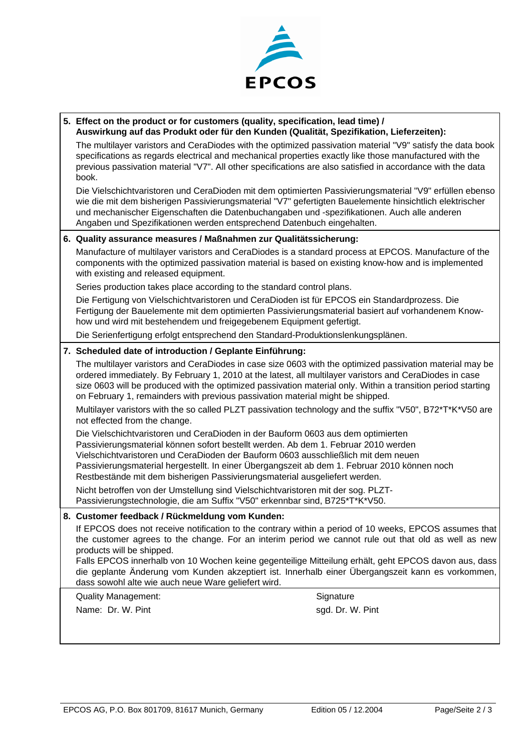

## **5. Effect on the product or for customers (quality, specification, lead time) / Auswirkung auf das Produkt oder für den Kunden (Qualität, Spezifikation, Lieferzeiten):**

The multilayer varistors and CeraDiodes with the optimized passivation material "V9" satisfy the data book specifications as regards electrical and mechanical properties exactly like those manufactured with the previous passivation material "V7". All other specifications are also satisfied in accordance with the data book.

Die Vielschichtvaristoren und CeraDioden mit dem optimierten Passivierungsmaterial "V9" erfüllen ebenso wie die mit dem bisherigen Passivierungsmaterial "V7" gefertigten Bauelemente hinsichtlich elektrischer und mechanischer Eigenschaften die Datenbuchangaben und -spezifikationen. Auch alle anderen Angaben und Spezifikationen werden entsprechend Datenbuch eingehalten.

## **6. Quality assurance measures / Maßnahmen zur Qualitätssicherung:**

 Manufacture of multilayer varistors and CeraDiodes is a standard process at EPCOS. Manufacture of the components with the optimized passivation material is based on existing know-how and is implemented with existing and released equipment.

Series production takes place according to the standard control plans.

 Die Fertigung von Vielschichtvaristoren und CeraDioden ist für EPCOS ein Standardprozess. Die Fertigung der Bauelemente mit dem optimierten Passivierungsmaterial basiert auf vorhandenem Knowhow und wird mit bestehendem und freigegebenem Equipment gefertigt.

Die Serienfertigung erfolgt entsprechend den Standard-Produktionslenkungsplänen.

## **7. Scheduled date of introduction / Geplante Einführung:**

 The multilayer varistors and CeraDiodes in case size 0603 with the optimized passivation material may be ordered immediately. By February 1, 2010 at the latest, all multilayer varistors and CeraDiodes in case size 0603 will be produced with the optimized passivation material only. Within a transition period starting on February 1, remainders with previous passivation material might be shipped.

Multilayer varistors with the so called PLZT passivation technology and the suffix "V50", B72\*T\*K\*V50 are not effected from the change.

 Die Vielschichtvaristoren und CeraDioden in der Bauform 0603 aus dem optimierten Passivierungsmaterial können sofort bestellt werden. Ab dem 1. Februar 2010 werden Vielschichtvaristoren und CeraDioden der Bauform 0603 ausschließlich mit dem neuen Passivierungsmaterial hergestellt. In einer Übergangszeit ab dem 1. Februar 2010 können noch Restbestände mit dem bisherigen Passivierungsmaterial ausgeliefert werden.

 Nicht betroffen von der Umstellung sind Vielschichtvaristoren mit der sog. PLZT-Passivierungstechnologie, die am Suffix "V50" erkennbar sind, B725\*T\*K\*V50.

## **8. Customer feedback / Rückmeldung vom Kunden:**

If EPCOS does not receive notification to the contrary within a period of 10 weeks, EPCOS assumes that the customer agrees to the change. For an interim period we cannot rule out that old as well as new products will be shipped.

Falls EPCOS innerhalb von 10 Wochen keine gegenteilige Mitteilung erhält, geht EPCOS davon aus, dass die geplante Änderung vom Kunden akzeptiert ist. Innerhalb einer Übergangszeit kann es vorkommen, dass sowohl alte wie auch neue Ware geliefert wird.

Quality Management: Signature Signature

Name: Dr. W. Pint sgd. Dr. W. Pint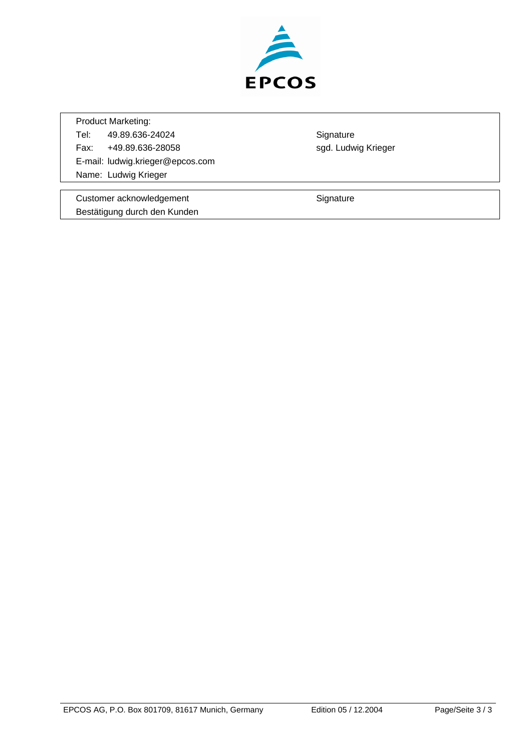

Product Marketing:

Tel: 49.89.636-24024 Signature Fax: +49.89.636-28058 sgd. Ludwig Krieger E-mail: ludwig.krieger@epcos.com Name: Ludwig Krieger

Customer acknowledgement **Signature** Signature Bestätigung durch den Kunden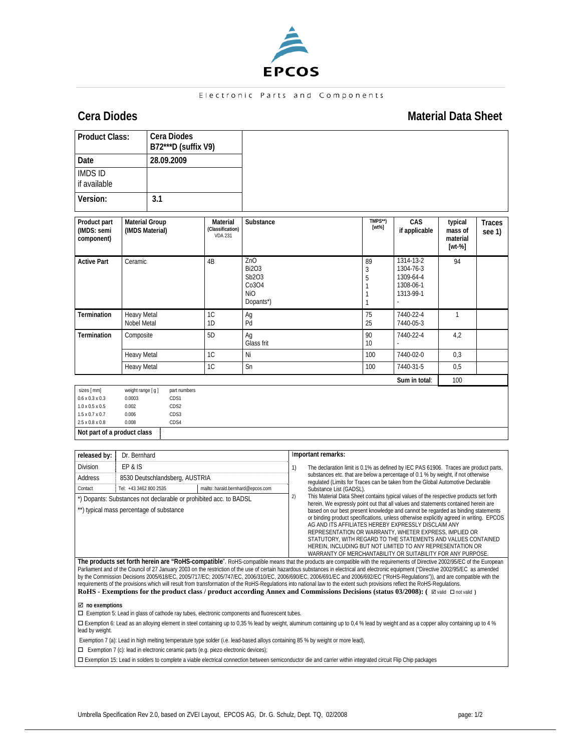

### Electronic Parts and Components

## **Cera Diodes** Material Data Sheet **Material Data Sheet**

| <b>Product Class:</b>                                                                                                                                                  |                                                         | <b>Cera Diodes</b><br>B72***D (suffix V9)                   |                                                |                                                           |                                                                                                                                                                     |                     |                                                                                      |                                                               |                         |  |  |
|------------------------------------------------------------------------------------------------------------------------------------------------------------------------|---------------------------------------------------------|-------------------------------------------------------------|------------------------------------------------|-----------------------------------------------------------|---------------------------------------------------------------------------------------------------------------------------------------------------------------------|---------------------|--------------------------------------------------------------------------------------|---------------------------------------------------------------|-------------------------|--|--|
| Date                                                                                                                                                                   |                                                         | 28.09.2009                                                  |                                                |                                                           |                                                                                                                                                                     |                     |                                                                                      |                                                               |                         |  |  |
| <b>IMDS ID</b><br>if available                                                                                                                                         |                                                         |                                                             |                                                |                                                           |                                                                                                                                                                     |                     |                                                                                      |                                                               |                         |  |  |
| Version:                                                                                                                                                               |                                                         | 3.1                                                         |                                                |                                                           |                                                                                                                                                                     |                     |                                                                                      |                                                               |                         |  |  |
| Product part<br>(IMDS: semi<br>component)                                                                                                                              |                                                         | <b>Material Group</b><br>(IMDS Material)                    | Material<br>(Classification)<br><b>VDA 231</b> | Substance                                                 |                                                                                                                                                                     | TMPS**)<br>$[wt\%]$ | CAS<br>if applicable                                                                 | typical<br>mass of<br>material<br>$[wt-%]$                    | <b>Traces</b><br>see 1) |  |  |
| <b>Active Part</b>                                                                                                                                                     |                                                         | Ceramic                                                     |                                                | ZnO<br><b>Bi2O3</b><br>Sb2O3<br>Co3O4<br>NiO<br>Dopants*) |                                                                                                                                                                     |                     | 89<br>3<br>5<br>1<br>1<br>1                                                          | 1314-13-2<br>1304-76-3<br>1309-64-4<br>1308-06-1<br>1313-99-1 | 94                      |  |  |
| Termination                                                                                                                                                            |                                                         | <b>Heavy Metal</b><br>Nobel Metal                           |                                                | Ag<br>Pd                                                  |                                                                                                                                                                     |                     | 75<br>25                                                                             | 7440-22-4<br>7440-05-3                                        | $\mathbf{1}$            |  |  |
| Termination                                                                                                                                                            | Composite                                               |                                                             | 5D                                             | Aq<br>Glass frit                                          |                                                                                                                                                                     |                     | 90<br>10                                                                             | 7440-22-4                                                     | 4,2                     |  |  |
|                                                                                                                                                                        |                                                         | Heavy Metal                                                 |                                                | Ni                                                        |                                                                                                                                                                     |                     | 100                                                                                  | 7440-02-0                                                     | 0.3                     |  |  |
|                                                                                                                                                                        |                                                         | <b>Heavy Metal</b>                                          |                                                | Sn                                                        |                                                                                                                                                                     |                     | 100                                                                                  | 7440-31-5                                                     | 0,5                     |  |  |
|                                                                                                                                                                        |                                                         |                                                             |                                                |                                                           |                                                                                                                                                                     |                     |                                                                                      | Sum in total:                                                 | 100                     |  |  |
| sizes [ mm]<br>$0.6 \times 0.3 \times 0.3$<br>$1.0 \times 0.5 \times 0.5$<br>$1.5 \times 0.7 \times 0.7$<br>$2.5 \times 0.8 \times 0.8$<br>Not part of a product class | weight range [ g ]<br>0.0003<br>0.002<br>0.006<br>0.008 | part numbers<br>CDS1<br>CDS2<br>CDS3<br>CDS4                |                                                |                                                           |                                                                                                                                                                     |                     |                                                                                      |                                                               |                         |  |  |
|                                                                                                                                                                        |                                                         |                                                             |                                                |                                                           |                                                                                                                                                                     |                     |                                                                                      |                                                               |                         |  |  |
| released by:                                                                                                                                                           | Dr. Bernhard                                            |                                                             |                                                |                                                           |                                                                                                                                                                     | Important remarks:  |                                                                                      |                                                               |                         |  |  |
| <b>Division</b>                                                                                                                                                        | EP & IS                                                 |                                                             |                                                |                                                           | 1)                                                                                                                                                                  |                     | The declaration limit is 0.1% as defined by IEC PAS 61906. Traces are product parts, |                                                               |                         |  |  |
| Address                                                                                                                                                                |                                                         | 8530 Deutschlandsberg, AUSTRIA                              |                                                |                                                           | substances etc. that are below a percentage of 0.1 % by weight, if not otherwise<br>requlated (Limits for Traces can be taken from the Global Automotive Declarable |                     |                                                                                      |                                                               |                         |  |  |
| Contact                                                                                                                                                                |                                                         | Tel: +43 3462 800 2535<br>mailto: harald.bernhard@epcos.com |                                                |                                                           | Substance List (GADSL).                                                                                                                                             |                     |                                                                                      |                                                               |                         |  |  |

\*) Dopants: Substances not declarable or prohibited acc. to BADSL

\*\*) typical mass percentage of substance

2) This Material Data Sheet contains typical values of the respective products set forth herein. We expressly point out that all values and statements contained herein are based on our best present knowledge and cannot be regarded as binding statements or binding product specifications, unless otherwise explicitly agreed in writing. EPCOS AG AND ITS AFFILIATES HEREBY EXPRESSLY DISCLAIM ANY REPRESENTATION OR WARRANTY, WHETER EXPRESS, IMPLIED OR STATUTORY, WITH REGARD TO THE STATEMENTS AND VALUES CONTAINED HEREIN, INCLUDING BUT NOT LIMITED TO ANY REPRESENTATION OR WARRANTY OF MERCHANTABILITY OR SUITABILITY FOR ANY PURPOSE.

**The products set forth herein are "RoHS-compatible**". RoHS-compatible means that the products are compatible with the requirements of Directive 2002/95/EC of the European Parliament and of the Council of 27 January 2003 on the restriction of the use of certain hazardous substances in electrical and electronic equipment ("Directive 2002/95/EC as amended<br>by the Commission Decisions 2005/618/E requirements of the provisions which will result from transformation of the RoHS-Regulations into national law to the extent such provisions reflect the RoHS-Regulations. **RoHS - Exemptions for the product class / product according Annex and Commissions Decisions (status 03/2008): (**  $\boxtimes$  **valid**  $\Box$  **not valid )** 

; **no exemptions** 

Exemption 5: Lead in glass of cathode ray tubes, electronic components and fluorescent tubes.

□ Exemption 6: Lead as an alloying element in steel containing up to 0,35 % lead by weight, aluminum containing up to 0,4 % lead by weight and as a copper alloy containing up to 4 % lead by weight.

Exemption 7 (a): Lead in high melting temperature type solder (i.e. lead-based alloys containing 85 % by weight or more lead),

 $\square$  Exemption 7 (c): lead in electronic ceramic parts (e.g. piezo electronic devices);

Exemption 15: Lead in solders to complete a viable electrical connection between semiconductor die and carrier within integrated circuit Flip Chip packages